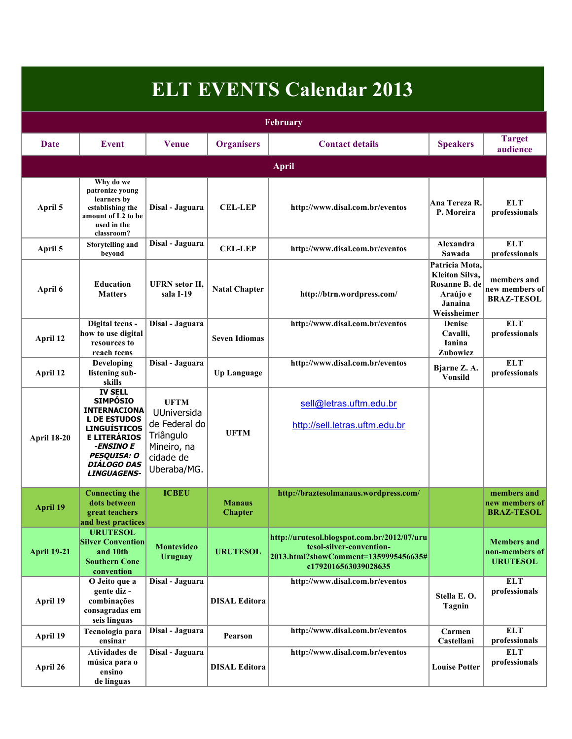| <b>ELT EVENTS Calendar 2013</b><br>February |                                                                                                                                                                                                                     |                                                                                                     |                                 |                                                                                                                                         |                                                                                                 |                                                         |  |  |
|---------------------------------------------|---------------------------------------------------------------------------------------------------------------------------------------------------------------------------------------------------------------------|-----------------------------------------------------------------------------------------------------|---------------------------------|-----------------------------------------------------------------------------------------------------------------------------------------|-------------------------------------------------------------------------------------------------|---------------------------------------------------------|--|--|
|                                             |                                                                                                                                                                                                                     |                                                                                                     |                                 |                                                                                                                                         |                                                                                                 |                                                         |  |  |
|                                             |                                                                                                                                                                                                                     |                                                                                                     |                                 | <b>April</b>                                                                                                                            |                                                                                                 |                                                         |  |  |
| April 5                                     | Why do we<br>patronize voung<br>learners by<br>establishing the<br>amount of L2 to be<br>used in the<br>classroom?                                                                                                  | Disal - Jaguara                                                                                     | <b>CEL-LEP</b>                  | http://www.disal.com.br/eventos                                                                                                         | Ana Tereza R.<br>P. Moreira                                                                     | <b>ELT</b><br>professionals                             |  |  |
| April 5                                     | <b>Storytelling and</b><br>bevond                                                                                                                                                                                   | Disal - Jaguara                                                                                     | <b>CEL-LEP</b>                  | http://www.disal.com.br/eventos                                                                                                         | Alexandra<br>Sawada                                                                             | <b>ELT</b><br>professionals                             |  |  |
| April 6                                     | <b>Education</b><br><b>Matters</b>                                                                                                                                                                                  | <b>UFRN</b> setor II.<br>sala I-19                                                                  | <b>Natal Chapter</b>            | http://btrn.wordpress.com/                                                                                                              | Patricia Mota,<br><b>Kleiton Silva</b> ,<br>Rosanne B. de<br>Araújo e<br>Janaina<br>Weissheimer | members and<br>new members of<br><b>BRAZ-TESOL</b>      |  |  |
| April 12                                    | Digital teens -<br>how to use digital<br>resources to<br>reach teens                                                                                                                                                | Disal - Jaguara                                                                                     | <b>Seven Idiomas</b>            | http://www.disal.com.br/eventos                                                                                                         | <b>Denise</b><br>Cavalli,<br>Ianina<br>Zubowicz                                                 | <b>ELT</b><br>professionals                             |  |  |
| April 12                                    | Developing<br>listening sub-<br>skills                                                                                                                                                                              | Disal - Jaguara                                                                                     | <b>Up Language</b>              | http://www.disal.com.br/eventos                                                                                                         | Bjarne Z.A.<br><b>Vonsild</b>                                                                   | <b>ELT</b><br>professionals                             |  |  |
| <b>April 18-20</b>                          | <b>IV SELL</b><br><b>SIMPÓSIO</b><br><b>INTERNACIONA</b><br><b>L DE ESTUDOS</b><br><b>LINGUÍSTICOS</b><br><b>E LITERÁRIOS</b><br>-ENSINO E<br><b>PESQUISA: O</b><br><i><b>DIÁLOGO DAS</b></i><br><b>LINGUAGENS-</b> | <b>UFTM</b><br>UUniversida<br>de Federal do<br>Triângulo<br>Mineiro, na<br>cidade de<br>Uberaba/MG. | <b>UFTM</b>                     | sell@letras.uftm.edu.br<br>http://sell.letras.uftm.edu.br                                                                               |                                                                                                 |                                                         |  |  |
| <b>April 19</b>                             | <b>Connecting the</b><br>dots between<br>great teachers<br>and best practices                                                                                                                                       | <b>ICBEU</b>                                                                                        | <b>Manaus</b><br><b>Chapter</b> | http://braztesolmanaus.wordpress.com/                                                                                                   |                                                                                                 | members and<br>new members of<br><b>BRAZ-TESOL</b>      |  |  |
| <b>April 19-21</b>                          | <b>URUTESOL</b><br><b>Silver Convention</b><br>and 10th<br><b>Southern Cone</b><br>convention                                                                                                                       | Montevideo<br><b>Uruguay</b>                                                                        | <b>URUTESOL</b>                 | http://urutesol.blogspot.com.br/2012/07/uru<br>tesol-silver-convention-<br>2013.html?showComment=1359995456635#<br>c1792016563039028635 |                                                                                                 | <b>Members</b> and<br>non-members of<br><b>URUTESOL</b> |  |  |
| April 19                                    | O Jeito que a<br>gente diz -<br>combinações<br>consagradas em<br>seis línguas                                                                                                                                       | Disal - Jaguara                                                                                     | <b>DISAL Editora</b>            | http://www.disal.com.br/eventos                                                                                                         | Stella E.O.<br>Tagnin                                                                           | <b>ELT</b><br>professionals                             |  |  |
| April 19                                    | Tecnologia para<br>ensinar                                                                                                                                                                                          | Disal - Jaguara                                                                                     | Pearson                         | http://www.disal.com.br/eventos                                                                                                         | Carmen<br>Castellani                                                                            | <b>ELT</b><br>professionals                             |  |  |
| April 26                                    | Atividades de<br>música para o<br>ensino<br>de línguas                                                                                                                                                              | Disal - Jaguara                                                                                     | <b>DISAL Editora</b>            | http://www.disal.com.br/eventos                                                                                                         | <b>Louise Potter</b>                                                                            | <b>ELT</b><br>professionals                             |  |  |